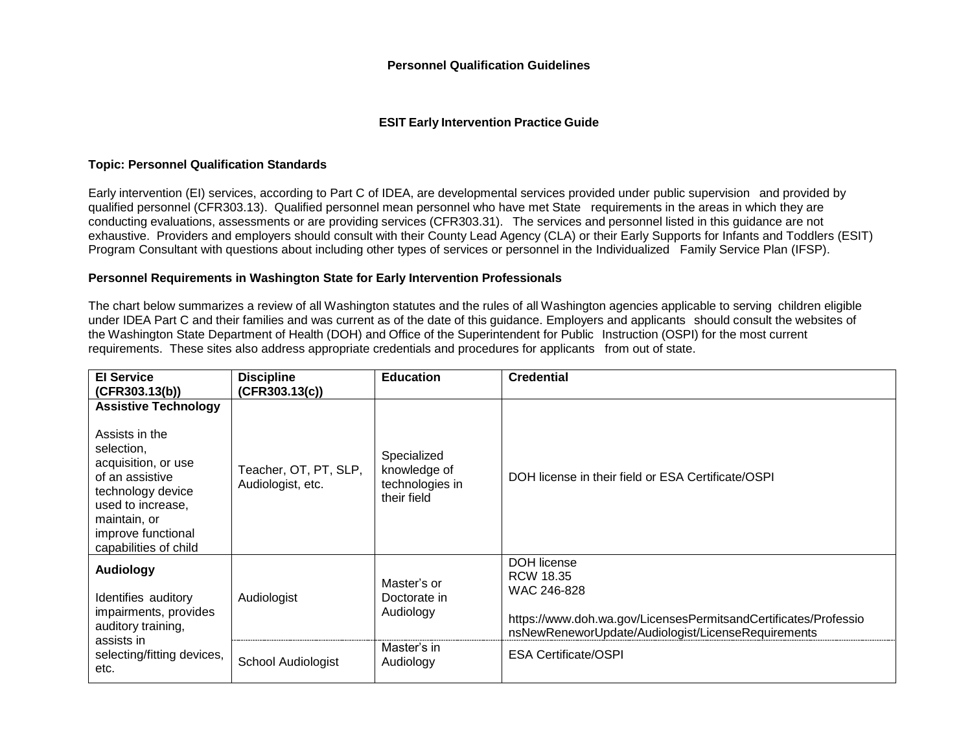#### **ESIT Early Intervention Practice Guide**

#### **Topic: Personnel Qualification Standards**

Early intervention (EI) services, according to Part C of IDEA, are developmental services provided under public supervision and provided by qualified personnel (CFR303.13). Qualified personnel mean personnel who have met State requirements in the areas in which they are conducting evaluations, assessments or are providing services (CFR303.31). The services and personnel listed in this guidance are not exhaustive. Providers and employers should consult with their County Lead Agency (CLA) or their Early Supports for Infants and Toddlers (ESIT) Program Consultant with questions about including other types of services or personnel in the Individualized Family Service Plan (IFSP).

### **Personnel Requirements in Washington State for Early Intervention Professionals**

The chart below summarizes a review of all Washington statutes and the rules of all Washington agencies applicable to serving children eligible under IDEA Part C and their families and was current as of the date of this guidance. Employers and applicants should consult the websites of the Washington State Department of Health (DOH) and Office of the Superintendent for Public Instruction (OSPI) for the most current requirements. These sites also address appropriate credentials and procedures for applicants from out of state.

| <b>El Service</b>                                                                                                                                                                                              | <b>Discipline</b>                          | <b>Education</b>                                              | <b>Credential</b>                                                                                                                                                       |
|----------------------------------------------------------------------------------------------------------------------------------------------------------------------------------------------------------------|--------------------------------------------|---------------------------------------------------------------|-------------------------------------------------------------------------------------------------------------------------------------------------------------------------|
| (CFR303.13(b))                                                                                                                                                                                                 | (CFR303.13(c))                             |                                                               |                                                                                                                                                                         |
| <b>Assistive Technology</b><br>Assists in the<br>selection,<br>acquisition, or use<br>of an assistive<br>technology device<br>used to increase,<br>maintain, or<br>improve functional<br>capabilities of child | Teacher, OT, PT, SLP,<br>Audiologist, etc. | Specialized<br>knowledge of<br>technologies in<br>their field | DOH license in their field or ESA Certificate/OSPI                                                                                                                      |
| <b>Audiology</b><br>Identifies auditory<br>impairments, provides<br>auditory training,<br>assists in                                                                                                           | Audiologist                                | Master's or<br>Doctorate in<br>Audiology<br>Master's in       | <b>DOH</b> license<br>RCW 18.35<br>WAC 246-828<br>https://www.doh.wa.gov/LicensesPermitsandCertificates/Professio<br>nsNewReneworUpdate/Audiologist/LicenseRequirements |
| selecting/fitting devices,<br>etc.                                                                                                                                                                             | School Audiologist                         | Audiology                                                     | <b>ESA Certificate/OSPI</b>                                                                                                                                             |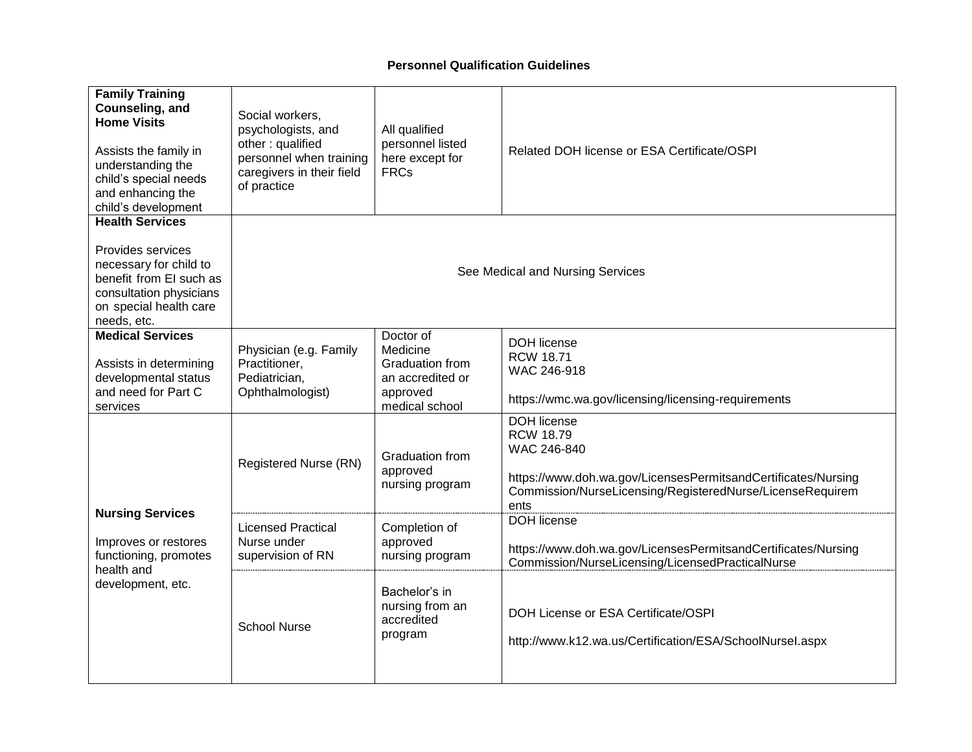| <b>Family Training</b><br>Counseling, and                                                                                                  | Social workers,                                                                                               |                                                                     |                                                                                                                                                                       |  |
|--------------------------------------------------------------------------------------------------------------------------------------------|---------------------------------------------------------------------------------------------------------------|---------------------------------------------------------------------|-----------------------------------------------------------------------------------------------------------------------------------------------------------------------|--|
| <b>Home Visits</b><br>Assists the family in<br>understanding the<br>child's special needs<br>and enhancing the<br>child's development      | psychologists, and<br>other: qualified<br>personnel when training<br>caregivers in their field<br>of practice | All qualified<br>personnel listed<br>here except for<br><b>FRCs</b> | Related DOH license or ESA Certificate/OSPI                                                                                                                           |  |
| <b>Health Services</b>                                                                                                                     |                                                                                                               |                                                                     |                                                                                                                                                                       |  |
| Provides services<br>necessary for child to<br>benefit from EI such as<br>consultation physicians<br>on special health care<br>needs, etc. | See Medical and Nursing Services                                                                              |                                                                     |                                                                                                                                                                       |  |
| <b>Medical Services</b>                                                                                                                    | Physician (e.g. Family                                                                                        | Doctor of<br>Medicine                                               | <b>DOH</b> license                                                                                                                                                    |  |
| Assists in determining<br>developmental status<br>and need for Part C                                                                      | Practitioner,<br>Pediatrician,<br>Ophthalmologist)                                                            | <b>Graduation from</b><br>an accredited or<br>approved              | <b>RCW 18.71</b><br>WAC 246-918<br>https://wmc.wa.gov/licensing/licensing-requirements                                                                                |  |
| services                                                                                                                                   |                                                                                                               | medical school                                                      | <b>DOH</b> license                                                                                                                                                    |  |
|                                                                                                                                            | Registered Nurse (RN)                                                                                         | Graduation from<br>approved<br>nursing program                      | <b>RCW 18.79</b><br>WAC 246-840<br>https://www.doh.wa.gov/LicensesPermitsandCertificates/Nursing<br>Commission/NurseLicensing/RegisteredNurse/LicenseRequirem<br>ents |  |
| <b>Nursing Services</b><br>Improves or restores<br>functioning, promotes<br>health and                                                     | <b>Licensed Practical</b><br>Nurse under<br>supervision of RN                                                 | Completion of<br>approved<br>nursing program                        | <b>DOH</b> license<br>https://www.doh.wa.gov/LicensesPermitsandCertificates/Nursing<br>Commission/NurseLicensing/LicensedPracticalNurse                               |  |
| development, etc.                                                                                                                          | <b>School Nurse</b>                                                                                           | Bachelor's in<br>nursing from an<br>accredited<br>program           | DOH License or ESA Certificate/OSPI<br>http://www.k12.wa.us/Certification/ESA/SchoolNursel.aspx                                                                       |  |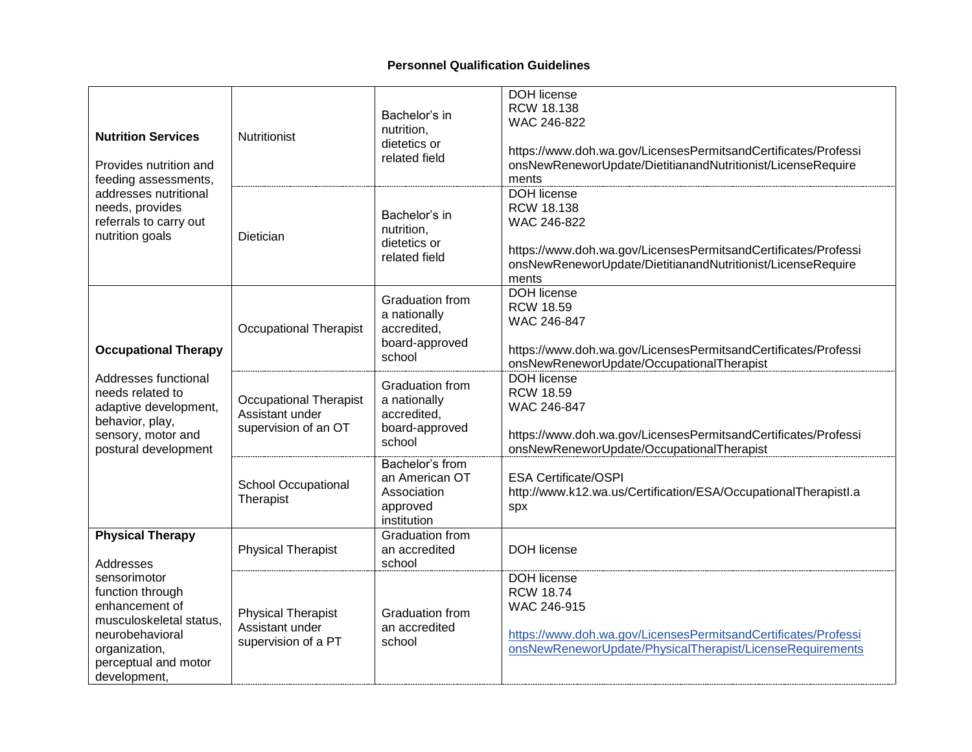| <b>Nutrition Services</b><br>Provides nutrition and<br>feeding assessments,<br>addresses nutritional<br>needs, provides<br>referrals to carry out<br>nutrition goals | Nutritionist                                                             | Bachelor's in<br>nutrition,<br>dietetics or<br>related field                      | DOH license<br><b>RCW 18.138</b><br>WAC 246-822<br>https://www.doh.wa.gov/LicensesPermitsandCertificates/Professi<br>onsNewReneworUpdate/DietitianandNutritionist/LicenseRequire<br>ments |
|----------------------------------------------------------------------------------------------------------------------------------------------------------------------|--------------------------------------------------------------------------|-----------------------------------------------------------------------------------|-------------------------------------------------------------------------------------------------------------------------------------------------------------------------------------------|
|                                                                                                                                                                      | Dietician                                                                | Bachelor's in<br>nutrition,<br>dietetics or<br>related field                      | <b>DOH</b> license<br>RCW 18.138<br>WAC 246-822<br>https://www.doh.wa.gov/LicensesPermitsandCertificates/Professi<br>onsNewReneworUpdate/DietitianandNutritionist/LicenseRequire<br>ments |
| <b>Occupational Therapy</b>                                                                                                                                          | <b>Occupational Therapist</b>                                            | Graduation from<br>a nationally<br>accredited.<br>board-approved<br>school        | <b>DOH</b> license<br><b>RCW 18.59</b><br>WAC 246-847<br>https://www.doh.wa.gov/LicensesPermitsandCertificates/Professi<br>onsNewReneworUpdate/OccupationalTherapist                      |
| Addresses functional<br>needs related to<br>adaptive development,<br>behavior, play,<br>sensory, motor and<br>postural development                                   | <b>Occupational Therapist</b><br>Assistant under<br>supervision of an OT | <b>Graduation from</b><br>a nationally<br>accredited,<br>board-approved<br>school | <b>DOH</b> license<br><b>RCW 18.59</b><br>WAC 246-847<br>https://www.doh.wa.gov/LicensesPermitsandCertificates/Professi<br>onsNewReneworUpdate/OccupationalTherapist                      |
|                                                                                                                                                                      | School Occupational<br>Therapist                                         | Bachelor's from<br>an American OT<br>Association<br>approved<br>institution       | <b>ESA Certificate/OSPI</b><br>http://www.k12.wa.us/Certification/ESA/OccupationalTherapistl.a<br>spx                                                                                     |
| <b>Physical Therapy</b><br>Addresses                                                                                                                                 | <b>Physical Therapist</b>                                                | <b>Graduation from</b><br>an accredited<br>school                                 | DOH license                                                                                                                                                                               |
| sensorimotor<br>function through<br>enhancement of<br>musculoskeletal status,<br>neurobehavioral<br>organization,<br>perceptual and motor<br>development,            | <b>Physical Therapist</b><br>Assistant under<br>supervision of a PT      | Graduation from<br>an accredited<br>school                                        | DOH license<br><b>RCW 18.74</b><br>WAC 246-915<br>https://www.doh.wa.gov/LicensesPermitsandCertificates/Professi<br>onsNewReneworUpdate/PhysicalTherapist/LicenseRequirements             |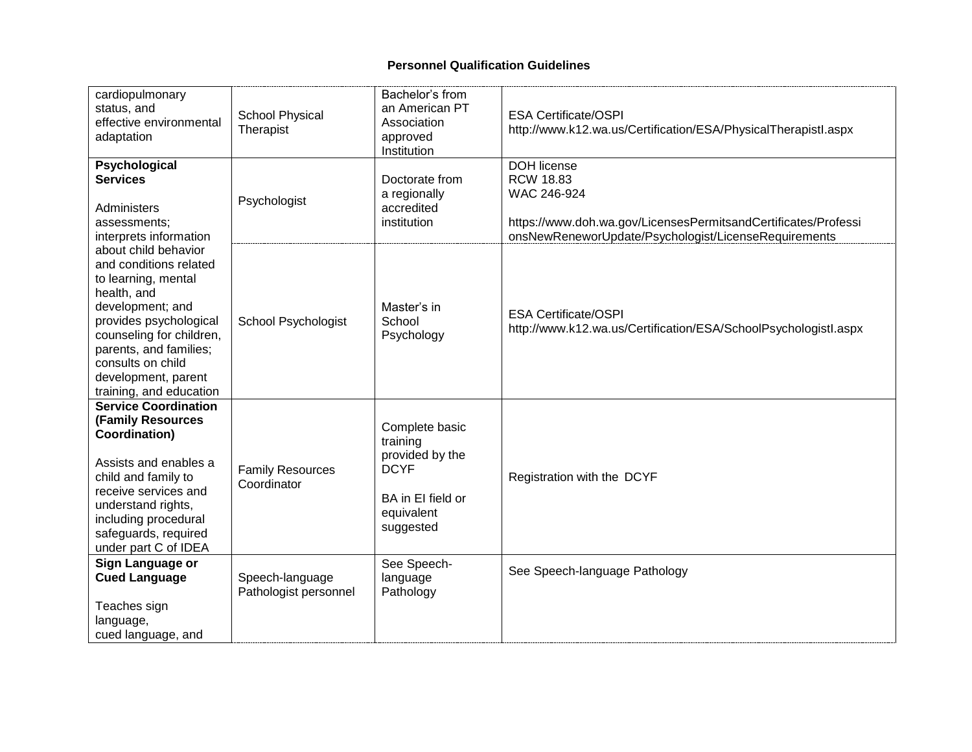| cardiopulmonary<br>status, and<br>effective environmental<br>adaptation                                                                                                                                                                                         | <b>School Physical</b><br>Therapist      | Bachelor's from<br>an American PT<br>Association<br>approved<br>Institution                                  | <b>ESA Certificate/OSPI</b><br>http://www.k12.wa.us/Certification/ESA/PhysicalTherapistl.aspx                                                                                   |  |
|-----------------------------------------------------------------------------------------------------------------------------------------------------------------------------------------------------------------------------------------------------------------|------------------------------------------|--------------------------------------------------------------------------------------------------------------|---------------------------------------------------------------------------------------------------------------------------------------------------------------------------------|--|
| Psychological<br><b>Services</b><br>Administers<br>assessments;<br>interprets information                                                                                                                                                                       | Psychologist                             | Doctorate from<br>a regionally<br>accredited<br>institution                                                  | <b>DOH license</b><br><b>RCW 18.83</b><br>WAC 246-924<br>https://www.doh.wa.gov/LicensesPermitsandCertificates/Professi<br>onsNewReneworUpdate/Psychologist/LicenseRequirements |  |
| about child behavior<br>and conditions related<br>to learning, mental<br>health, and<br>development; and<br>provides psychological<br>counseling for children,<br>parents, and families;<br>consults on child<br>development, parent<br>training, and education | School Psychologist                      | Master's in<br>School<br>Psychology                                                                          | <b>ESA Certificate/OSPI</b><br>http://www.k12.wa.us/Certification/ESA/SchoolPsychologistl.aspx                                                                                  |  |
| <b>Service Coordination</b><br><b>(Family Resources</b><br>Coordination)<br>Assists and enables a<br>child and family to<br>receive services and<br>understand rights,<br>including procedural<br>safeguards, required<br>under part C of IDEA                  | <b>Family Resources</b><br>Coordinator   | Complete basic<br>training<br>provided by the<br><b>DCYF</b><br>BA in El field or<br>equivalent<br>suggested | Registration with the DCYF                                                                                                                                                      |  |
| Sign Language or<br><b>Cued Language</b><br>Teaches sign<br>language,<br>cued language, and                                                                                                                                                                     | Speech-language<br>Pathologist personnel | See Speech-<br>language<br>Pathology                                                                         | See Speech-language Pathology                                                                                                                                                   |  |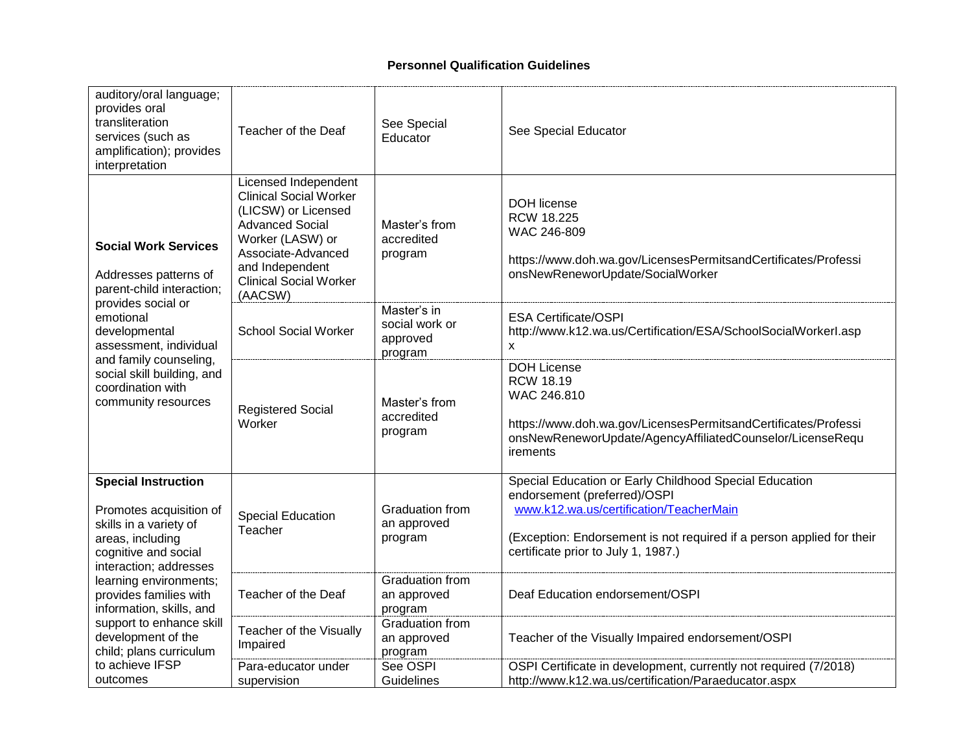|                                                                                                                                                                                                                                                                     | auditory/oral language;<br>provides oral<br>transliteration<br>services (such as<br>amplification); provides<br>interpretation                                                                                  | Teacher of the Deaf                    | See Special<br>Educator                                                                                                                               | See Special Educator                                                                                                                                                                                                                              |
|---------------------------------------------------------------------------------------------------------------------------------------------------------------------------------------------------------------------------------------------------------------------|-----------------------------------------------------------------------------------------------------------------------------------------------------------------------------------------------------------------|----------------------------------------|-------------------------------------------------------------------------------------------------------------------------------------------------------|---------------------------------------------------------------------------------------------------------------------------------------------------------------------------------------------------------------------------------------------------|
| <b>Social Work Services</b><br>Addresses patterns of<br>parent-child interaction;<br>provides social or<br>emotional<br>developmental<br>assessment, individual<br>and family counseling,<br>social skill building, and<br>coordination with<br>community resources | Licensed Independent<br><b>Clinical Social Worker</b><br>(LICSW) or Licensed<br><b>Advanced Social</b><br>Worker (LASW) or<br>Associate-Advanced<br>and Independent<br><b>Clinical Social Worker</b><br>(AACSW) | Master's from<br>accredited<br>program | <b>DOH</b> license<br>RCW 18.225<br>WAC 246-809<br>https://www.doh.wa.gov/LicensesPermitsandCertificates/Professi<br>onsNewReneworUpdate/SocialWorker |                                                                                                                                                                                                                                                   |
|                                                                                                                                                                                                                                                                     |                                                                                                                                                                                                                 | <b>School Social Worker</b>            | Master's in<br>social work or<br>approved<br>program                                                                                                  | <b>ESA Certificate/OSPI</b><br>http://www.k12.wa.us/Certification/ESA/SchoolSocialWorkerl.asp<br>X                                                                                                                                                |
|                                                                                                                                                                                                                                                                     |                                                                                                                                                                                                                 | <b>Registered Social</b><br>Worker     | Master's from<br>accredited<br>program                                                                                                                | <b>DOH License</b><br><b>RCW 18.19</b><br>WAC 246.810<br>https://www.doh.wa.gov/LicensesPermitsandCertificates/Professi<br>onsNewReneworUpdate/AgencyAffiliatedCounselor/LicenseRequ<br>irements                                                  |
|                                                                                                                                                                                                                                                                     | <b>Special Instruction</b><br>Promotes acquisition of<br>skills in a variety of<br>areas, including<br>cognitive and social<br>interaction; addresses                                                           | <b>Special Education</b><br>Teacher    | Graduation from<br>an approved<br>program                                                                                                             | Special Education or Early Childhood Special Education<br>endorsement (preferred)/OSPI<br>www.k12.wa.us/certification/TeacherMain<br>(Exception: Endorsement is not required if a person applied for their<br>certificate prior to July 1, 1987.) |
|                                                                                                                                                                                                                                                                     | learning environments;<br>provides families with<br>information, skills, and                                                                                                                                    | Teacher of the Deaf                    | Graduation from<br>an approved<br>program                                                                                                             | Deaf Education endorsement/OSPI                                                                                                                                                                                                                   |
|                                                                                                                                                                                                                                                                     | support to enhance skill<br>development of the<br>child; plans curriculum                                                                                                                                       | Teacher of the Visually<br>Impaired    | Graduation from<br>an approved<br>program                                                                                                             | Teacher of the Visually Impaired endorsement/OSPI                                                                                                                                                                                                 |
|                                                                                                                                                                                                                                                                     | to achieve IFSP<br>outcomes                                                                                                                                                                                     | Para-educator under<br>supervision     | See OSPI<br>Guidelines                                                                                                                                | OSPI Certificate in development, currently not required (7/2018)<br>http://www.k12.wa.us/certification/Paraeducator.aspx                                                                                                                          |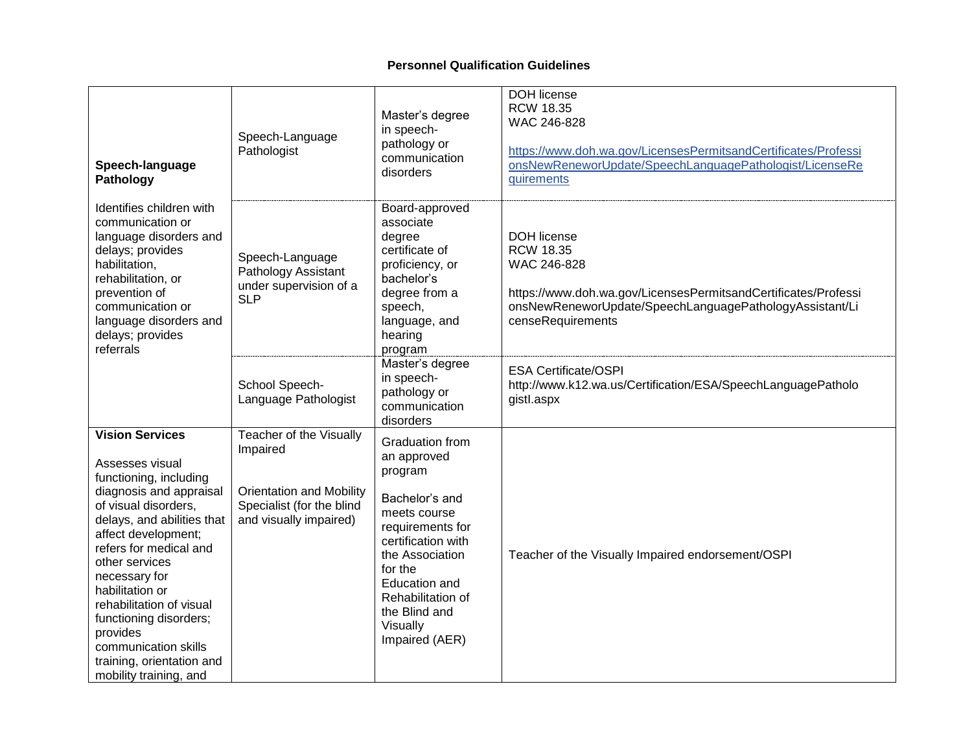| Speech-language<br>Pathology                                                                                                                                                                                                                                                                                                                                                                                 | Speech-Language<br>Pathologist                                                                                                | Master's degree<br>in speech-<br>pathology or<br>communication<br>disorders                                                                                                                                                              | <b>DOH</b> license<br><b>RCW 18.35</b><br>WAC 246-828<br>https://www.doh.wa.gov/LicensesPermitsandCertificates/Professi<br>onsNewReneworUpdate/SpeechLanguagePathologist/LicenseRe<br>quirements        |
|--------------------------------------------------------------------------------------------------------------------------------------------------------------------------------------------------------------------------------------------------------------------------------------------------------------------------------------------------------------------------------------------------------------|-------------------------------------------------------------------------------------------------------------------------------|------------------------------------------------------------------------------------------------------------------------------------------------------------------------------------------------------------------------------------------|---------------------------------------------------------------------------------------------------------------------------------------------------------------------------------------------------------|
| Identifies children with<br>communication or<br>language disorders and<br>delays; provides<br>habilitation,<br>rehabilitation, or<br>prevention of<br>communication or<br>language disorders and<br>delays; provides<br>referrals                                                                                                                                                                            | Speech-Language<br>Pathology Assistant<br>under supervision of a<br><b>SLP</b>                                                | Board-approved<br>associate<br>degree<br>certificate of<br>proficiency, or<br>bachelor's<br>degree from a<br>speech,<br>language, and<br>hearing<br>program                                                                              | <b>DOH</b> license<br><b>RCW 18.35</b><br>WAC 246-828<br>https://www.doh.wa.gov/LicensesPermitsandCertificates/Professi<br>onsNewReneworUpdate/SpeechLanguagePathologyAssistant/Li<br>censeRequirements |
|                                                                                                                                                                                                                                                                                                                                                                                                              | School Speech-<br>Language Pathologist                                                                                        | Master's degree<br>in speech-<br>pathology or<br>communication<br>disorders                                                                                                                                                              | <b>ESA Certificate/OSPI</b><br>http://www.k12.wa.us/Certification/ESA/SpeechLanguagePatholo<br>gistl.aspx                                                                                               |
| <b>Vision Services</b><br>Assesses visual<br>functioning, including<br>diagnosis and appraisal<br>of visual disorders,<br>delays, and abilities that<br>affect development;<br>refers for medical and<br>other services<br>necessary for<br>habilitation or<br>rehabilitation of visual<br>functioning disorders;<br>provides<br>communication skills<br>training, orientation and<br>mobility training, and | Teacher of the Visually<br>Impaired<br><b>Orientation and Mobility</b><br>Specialist (for the blind<br>and visually impaired) | Graduation from<br>an approved<br>program<br>Bachelor's and<br>meets course<br>requirements for<br>certification with<br>the Association<br>for the<br>Education and<br>Rehabilitation of<br>the Blind and<br>Visually<br>Impaired (AER) | Teacher of the Visually Impaired endorsement/OSPI                                                                                                                                                       |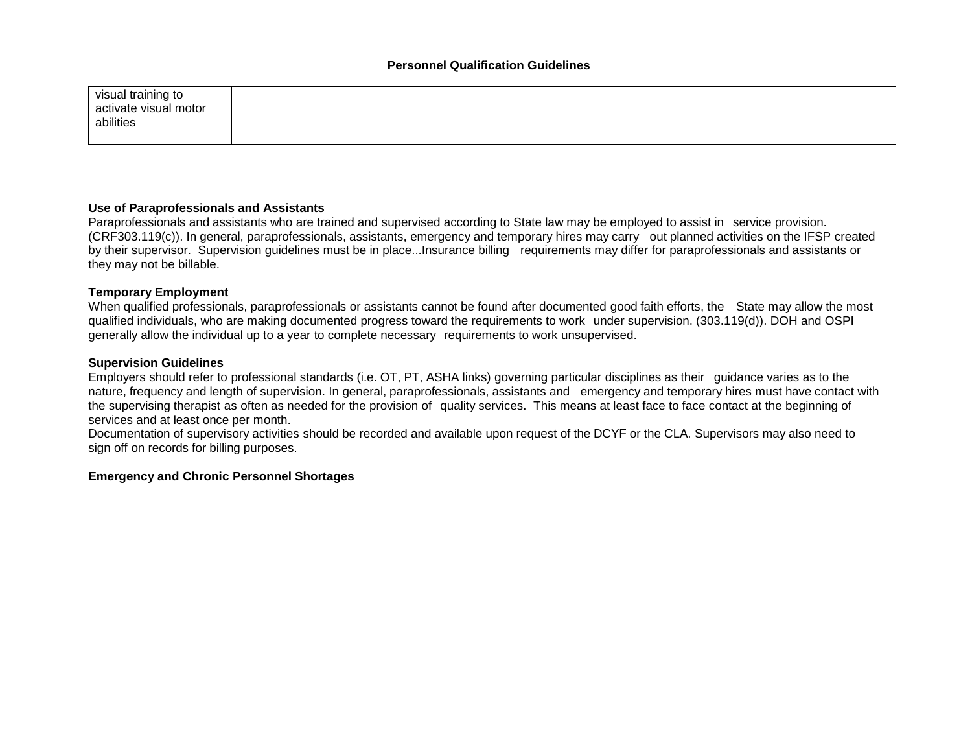| visual training to    |  |  |
|-----------------------|--|--|
| activate visual motor |  |  |
| abilities             |  |  |
|                       |  |  |

### **Use of Paraprofessionals and Assistants**

Paraprofessionals and assistants who are trained and supervised according to State law may be employed to assist in service provision. (CRF303.119(c)). In general, paraprofessionals, assistants, emergency and temporary hires may carry out planned activities on the IFSP created by their supervisor. Supervision guidelines must be in place...Insurance billing requirements may differ for paraprofessionals and assistants or they may not be billable.

### **Temporary Employment**

When qualified professionals, paraprofessionals or assistants cannot be found after documented good faith efforts, the State may allow the most qualified individuals, who are making documented progress toward the requirements to work under supervision. (303.119(d)). DOH and OSPI generally allow the individual up to a year to complete necessary requirements to work unsupervised.

### **Supervision Guidelines**

Employers should refer to professional standards (i.e. OT, PT, ASHA links) governing particular disciplines as their guidance varies as to the nature, frequency and length of supervision. In general, paraprofessionals, assistants and emergency and temporary hires must have contact with the supervising therapist as often as needed for the provision of quality services. This means at least face to face contact at the beginning of services and at least once per month.

Documentation of supervisory activities should be recorded and available upon request of the DCYF or the CLA. Supervisors may also need to sign off on records for billing purposes.

## **Emergency and Chronic Personnel Shortages**